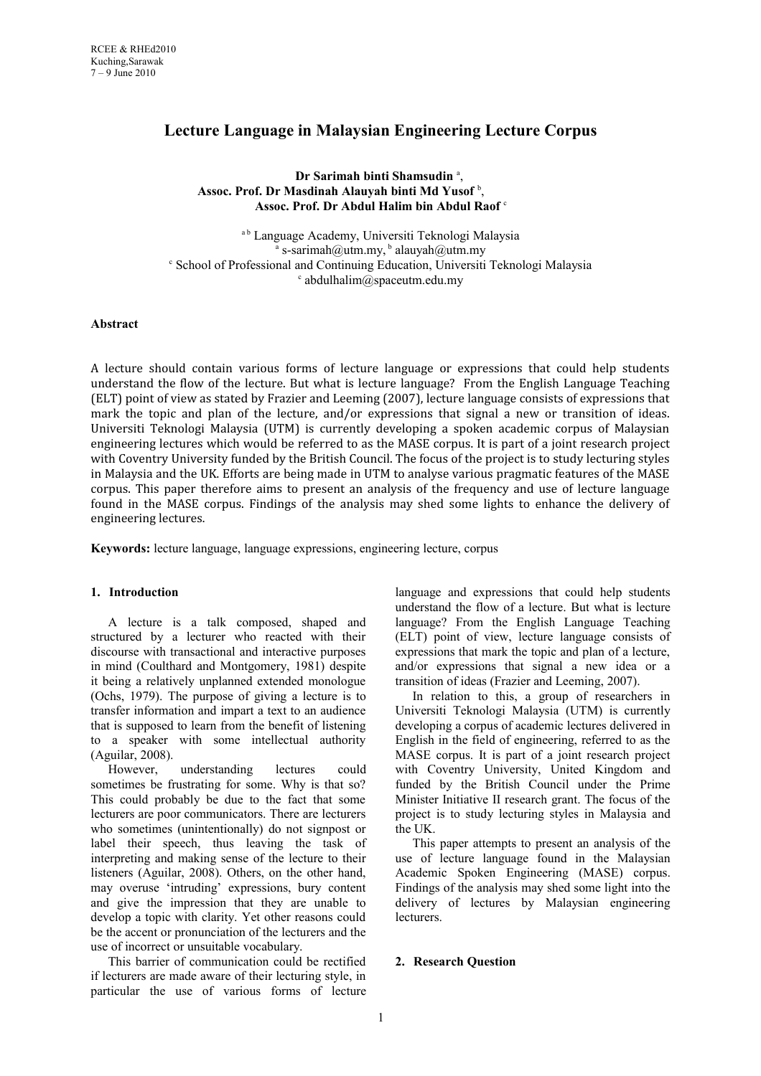# **Lecture Language in Malaysian Engineering Lecture Corpus**

**Dr Sarimah binti Shamsudin** <sup>a</sup> , Assoc. Prof. Dr Masdinah Alauyah binti Md Yusof<sup>b</sup>, **Assoc. Prof. Dr Abdul Halim bin Abdul Raof** <sup>c</sup>

ab Language Academy, Universiti Teknologi Malaysia <sup>a</sup> s-sarimah@utm.my, <sup>b</sup> alauyah@utm.my <sup>c</sup> School of Professional and Continuing Education, Universiti Teknologi Malaysia c abdulhalim@spaceutm.edu.my

### **Abstract**

A lecture should contain various forms of lecture language or expressions that could help students understand the flow of the lecture. But what is lecture language? From the English Language Teaching (ELT) point of view as stated by Frazier and Leeming (2007), lecture language consists of expressions that mark the topic and plan of the lecture, and/or expressions that signal a new or transition of ideas. Universiti Teknologi Malaysia (UTM) is currently developing a spoken academic corpus of Malaysian engineering lectures which would be referred to as the MASE corpus. It is part of a joint research project with Coventry University funded by the British Council. The focus of the project is to study lecturing styles in Malaysia and the UK. Efforts are being made in UTM to analyse various pragmatic features of the MASE corpus. This paper therefore aims to present an analysis of the frequency and use of lecture language found in the MASE corpus. Findings of the analysis may shed some lights to enhance the delivery of engineering lectures.

**Keywords:** lecture language, language expressions, engineering lecture, corpus

# **1. Introduction**

A lecture is a talk composed, shaped and structured by a lecturer who reacted with their discourse with transactional and interactive purposes in mind (Coulthard and Montgomery, 1981) despite it being a relatively unplanned extended monologue (Ochs, 1979). The purpose of giving a lecture is to transfer information and impart a text to an audience that is supposed to learn from the benefit of listening to a speaker with some intellectual authority (Aguilar, 2008).

However, understanding lectures could sometimes be frustrating for some. Why is that so? This could probably be due to the fact that some lecturers are poor communicators. There are lecturers who sometimes (unintentionally) do not signpost or label their speech, thus leaving the task of interpreting and making sense of the lecture to their listeners (Aguilar, 2008). Others, on the other hand, may overuse 'intruding' expressions, bury content and give the impression that they are unable to develop a topic with clarity. Yet other reasons could be the accent or pronunciation of the lecturers and the use of incorrect or unsuitable vocabulary.

This barrier of communication could be rectified if lecturers are made aware of their lecturing style, in particular the use of various forms of lecture language and expressions that could help students understand the flow of a lecture. But what is lecture language? From the English Language Teaching (ELT) point of view, lecture language consists of expressions that mark the topic and plan of a lecture, and/or expressions that signal a new idea or a transition of ideas (Frazier and Leeming, 2007).

In relation to this, a group of researchers in Universiti Teknologi Malaysia (UTM) is currently developing a corpus of academic lectures delivered in English in the field of engineering, referred to as the MASE corpus. It is part of a joint research project with Coventry University, United Kingdom and funded by the British Council under the Prime Minister Initiative II research grant. The focus of the project is to study lecturing styles in Malaysia and the UK.

This paper attempts to present an analysis of the use of lecture language found in the Malaysian Academic Spoken Engineering (MASE) corpus. Findings of the analysis may shed some light into the delivery of lectures by Malaysian engineering lecturers.

## **2. Research Question**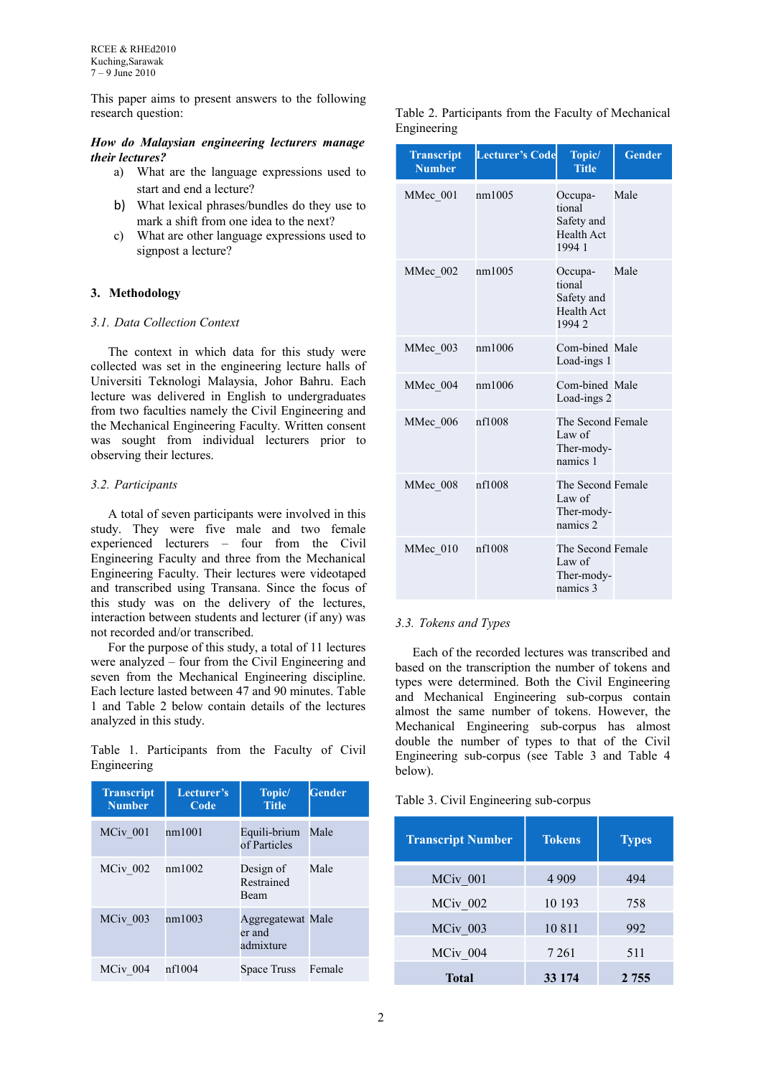RCEE & RHEd2010 Kuching,Sarawak 7 – 9 June 2010

This paper aims to present answers to the following research question:

### *How do Malaysian engineering lecturers manage their lectures?*

- a) What are the language expressions used to start and end a lecture?
- b) What lexical phrases/bundles do they use to mark a shift from one idea to the next?
- c) What are other language expressions used to signpost a lecture?

### **3. Methodology**

#### *3.1. Data Collection Context*

The context in which data for this study were collected was set in the engineering lecture halls of Universiti Teknologi Malaysia, Johor Bahru. Each lecture was delivered in English to undergraduates from two faculties namely the Civil Engineering and the Mechanical Engineering Faculty. Written consent was sought from individual lecturers prior to observing their lectures.

### *3.2. Participants*

A total of seven participants were involved in this study. They were five male and two female experienced lecturers – four from the Civil Engineering Faculty and three from the Mechanical Engineering Faculty. Their lectures were videotaped and transcribed using Transana. Since the focus of this study was on the delivery of the lectures, interaction between students and lecturer (if any) was not recorded and/or transcribed.

For the purpose of this study, a total of 11 lectures were analyzed – four from the Civil Engineering and seven from the Mechanical Engineering discipline. Each lecture lasted between 47 and 90 minutes. Table 1 and Table 2 below contain details of the lectures analyzed in this study.

Table 1. Participants from the Faculty of Civil Engineering

| <b>Transcript</b><br><b>Number</b> | Lecturer's<br>Code | Topic/<br><b>Title</b>                   | <b>Gender</b> |
|------------------------------------|--------------------|------------------------------------------|---------------|
| MCiv 001                           | nm1001             | Equili-brium<br>of Particles             | Male          |
| MCiv 002                           | nm1002             | Design of<br>Restrained<br>Beam          | Male          |
| MCiv 003                           | nm1003             | Aggregatewat Male<br>er and<br>admixture |               |
| MCiv 004                           | nf1004             | Space Truss                              | Female        |

|             | Table 2. Participants from the Faculty of Mechanical |  |  |  |
|-------------|------------------------------------------------------|--|--|--|
| Engineering |                                                      |  |  |  |

| <b>Transcript</b><br><b>Number</b> | <b>Lecturer's Code</b> | Topic/<br><b>Title</b>                                         | <b>Gender</b> |
|------------------------------------|------------------------|----------------------------------------------------------------|---------------|
| MMec 001                           | nm1005                 | Occupa-<br>tional<br>Safety and<br><b>Health Act</b><br>1994 1 | Male          |
| MMec 002                           | nm1005                 | Occupa-<br>tional<br>Safety and<br><b>Health Act</b><br>19942  | Male          |
| MMec 003                           | nm1006                 | Com-bined Male<br>Load-ings 1                                  |               |
| MMec 004                           | nm1006                 | Com-bined Male<br>Load-ings 2                                  |               |
| MMec 006                           | nf1008                 | The Second Female<br>Law of<br>Ther-mody-<br>namics 1          |               |
| MMec 008                           | nf1008                 | The Second Female<br>Law of<br>Ther-mody-<br>namics 2          |               |
| MMec 010                           | nf1008                 | The Second Female<br>Law of<br>Ther-mody-<br>namics 3          |               |

#### *3.3. Tokens and Types*

Each of the recorded lectures was transcribed and based on the transcription the number of tokens and types were determined. Both the Civil Engineering and Mechanical Engineering sub-corpus contain almost the same number of tokens. However, the Mechanical Engineering sub-corpus has almost double the number of types to that of the Civil Engineering sub-corpus (see Table 3 and Table 4 below).

| <b>Transcript Number</b> | <b>Tokens</b> | <b>Types</b> |
|--------------------------|---------------|--------------|
| MCiv 001                 | 4 9 0 9       | 494          |
| MCiv 002                 | 10 193        | 758          |
| MCiv 003                 | 10 811        | 992          |
| MCiv 004                 | 7 2 6 1       | 511          |
| <b>Total</b>             | 33 174        | 2 7 5 5      |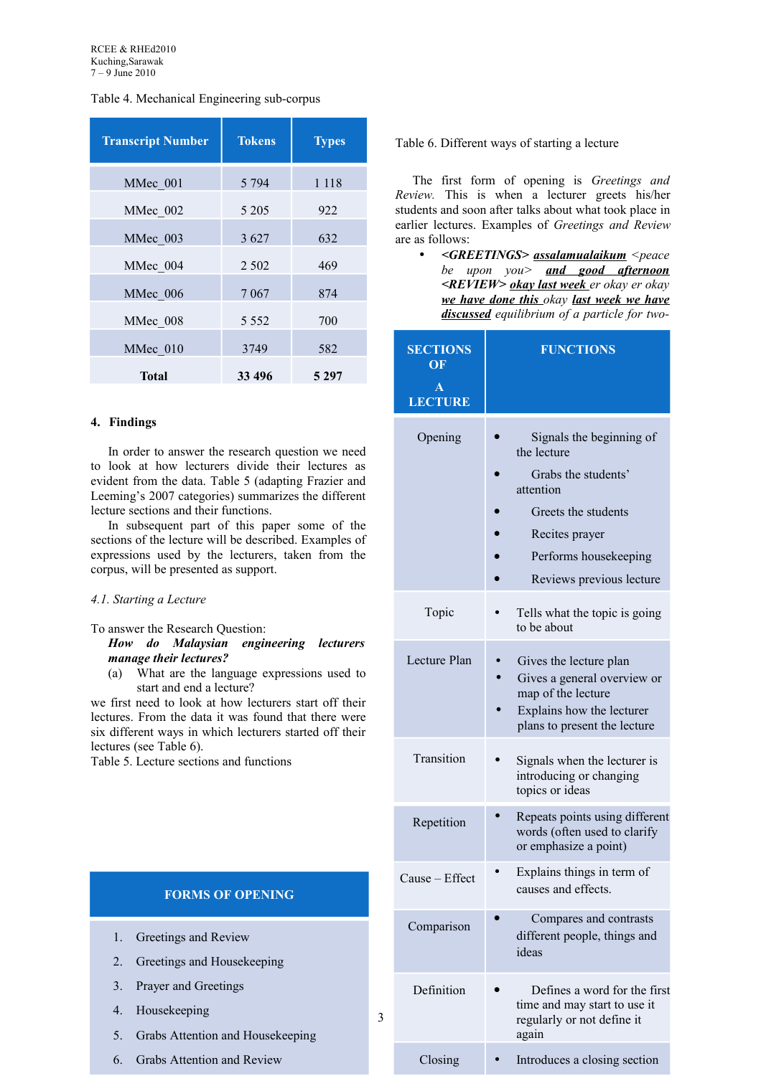#### Table 4. Mechanical Engineering sub-corpus

| <b>Transcript Number</b> | <b>Tokens</b> | <b>Types</b> |
|--------------------------|---------------|--------------|
| MMec 001                 | 5 7 9 4       | 1 1 1 8      |
| MMec 002                 | 5 2 0 5       | 922          |
| MMec 003                 | 3 6 27        | 632          |
| MMec 004                 | 2 5 0 2       | 469          |
| MMec 006                 | 7 0 6 7       | 874          |
| MMec 008                 | 5 5 5 2       | 700          |
| MMec 010                 | 3749          | 582          |
| <b>Total</b>             | 33 496        | 5 2 9 7      |

### **4. Findings**

In order to answer the research question we need to look at how lecturers divide their lectures as evident from the data. Table 5 (adapting Frazier and Leeming's 2007 categories) summarizes the different lecture sections and their functions.

In subsequent part of this paper some of the sections of the lecture will be described. Examples of expressions used by the lecturers, taken from the corpus, will be presented as support.

# *4.1. Starting a Lecture*

#### To answer the Research Question:

#### *How do Malaysian engineering lecturers manage their lectures?*

(a) What are the language expressions used to start and end a lecture?

we first need to look at how lecturers start off their lectures. From the data it was found that there were six different ways in which lecturers started off their lectures (see Table 6).

Table 5. Lecture sections and functions

# **FORMS OF OPENING**

- 1. Greetings and Review
- 2. Greetings and Housekeeping
- 3. Prayer and Greetings
- 4. Housekeeping
- 5. Grabs Attention and Housekeeping

3

6. Grabs Attention and Review

Table 6. Different ways of starting a lecture

The first form of opening is *Greetings and Review.* This is when a lecturer greets his/her students and soon after talks about what took place in earlier lectures. Examples of *Greetings and Review* are as follows:

• *<GREETINGS> assalamualaikum <peace be upon you> and good afternoon <REVIEW> okay last week er okay er okay we have done this okay last week we have discussed equilibrium of a particle for two-*

| <b>SECTIONS</b><br>OF<br><b>LECTURE</b> | <b>FUNCTIONS</b>                                                                                                                                                          |
|-----------------------------------------|---------------------------------------------------------------------------------------------------------------------------------------------------------------------------|
| Opening                                 | Signals the beginning of<br>the lecture<br>Grabs the students'<br>attention<br>Greets the students<br>Recites prayer<br>Performs housekeeping<br>Reviews previous lecture |
| Topic                                   | Tells what the topic is going<br>to be about                                                                                                                              |
| Lecture Plan                            | Gives the lecture plan<br>Gives a general overview or<br>map of the lecture<br>Explains how the lecturer<br>plans to present the lecture                                  |
| Transition                              | Signals when the lecturer is<br>introducing or changing<br>topics or ideas                                                                                                |
| Repetition                              | Repeats points using different<br>words (often used to clarify<br>or emphasize a point)                                                                                   |
| Cause - Effect                          | Explains things in term of<br>causes and effects.                                                                                                                         |
| Comparison                              | Compares and contrasts<br>different people, things and<br>ideas                                                                                                           |
| Definition                              | Defines a word for the first<br>time and may start to use it<br>regularly or not define it<br>again                                                                       |
| Closing                                 | Introduces a closing section                                                                                                                                              |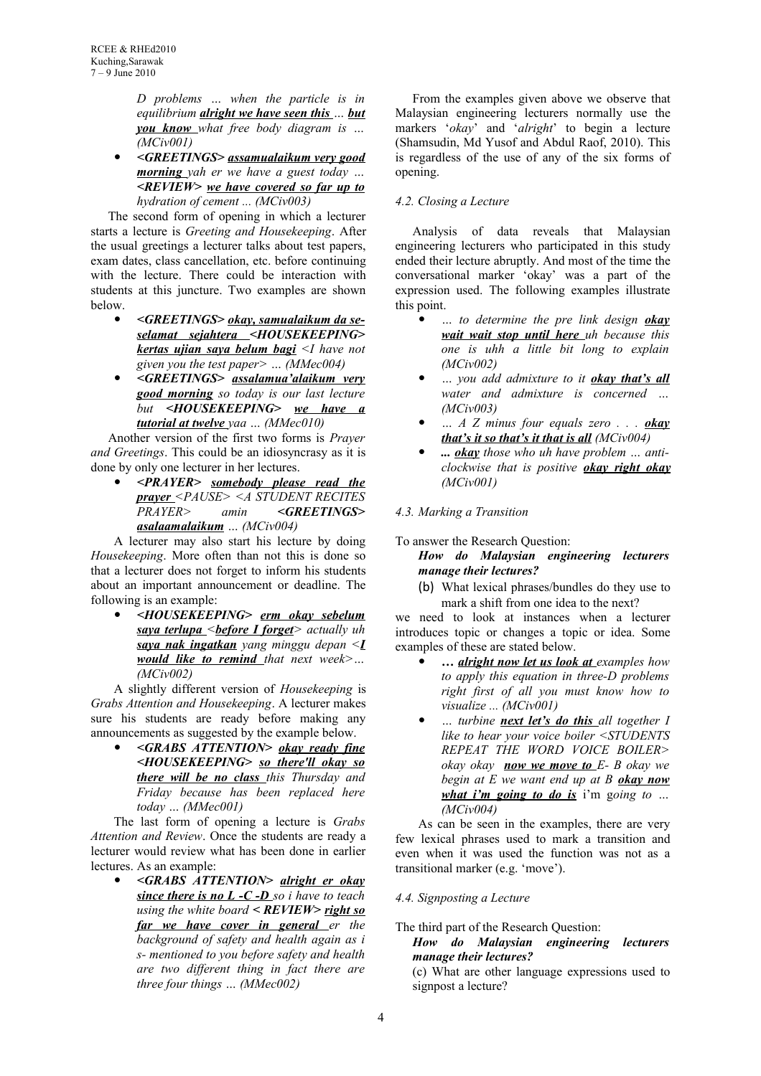*D problems … when the particle is in equilibrium alright we have seen this … but you know what free body diagram is … (MCiv001)*

 *<GREETINGS> assamualaikum very good morning yah er we have a guest today … <REVIEW> we have covered so far up to hydration of cement ... (MCiv003)*

The second form of opening in which a lecturer starts a lecture is *Greeting and Housekeeping*. After the usual greetings a lecturer talks about test papers, exam dates, class cancellation, etc. before continuing with the lecture. There could be interaction with students at this juncture. Two examples are shown below.

- *<GREETINGS> okay, samualaikum da seselamat sejahtera <HOUSEKEEPING> kertas ujian saya belum bagi <I have not given you the test paper> … (MMec004)*
- *<GREETINGS> assalamua'alaikum very good morning so today is our last lecture but <HOUSEKEEPING> we have a tutorial at twelve yaa … (MMec010)*

Another version of the first two forms is *Prayer and Greetings*. This could be an idiosyncrasy as it is done by only one lecturer in her lectures.

 *<PRAYER> somebody please read the prayer <PAUSE> <A STUDENT RECITES PRAYER> amin <GREETINGS> asalaamalaikum … (MCiv004)*

A lecturer may also start his lecture by doing *Housekeeping*. More often than not this is done so that a lecturer does not forget to inform his students about an important announcement or deadline. The following is an example:

 *<HOUSEKEEPING> erm okay sebelum saya terlupa <before I forget> actually uh saya nak ingatkan yang minggu depan <I would like to remind that next week>… (MCiv002)*

A slightly different version of *Housekeeping* is *Grabs Attention and Housekeeping*. A lecturer makes sure his students are ready before making any announcements as suggested by the example below.

 *<GRABS ATTENTION> okay ready fine <HOUSEKEEPING> so there'll okay so there will be no class this Thursday and Friday because has been replaced here today … (MMec001)*

The last form of opening a lecture is *Grabs Attention and Review*. Once the students are ready a lecturer would review what has been done in earlier lectures. As an example:

 *<GRABS ATTENTION> alright er okay since there is no L -C -D so i have to teach using the white board < REVIEW> right so far we have cover in general er the background of safety and health again as i s- mentioned to you before safety and health are two different thing in fact there are three four things … (MMec002)*

From the examples given above we observe that Malaysian engineering lecturers normally use the markers '*okay*' and '*alright*' to begin a lecture (Shamsudin, Md Yusof and Abdul Raof, 2010). This is regardless of the use of any of the six forms of opening.

### *4.2. Closing a Lecture*

Analysis of data reveals that Malaysian engineering lecturers who participated in this study ended their lecture abruptly. And most of the time the conversational marker 'okay' was a part of the expression used. The following examples illustrate this point.

- *… to determine the pre link design okay wait wait stop until here uh because this one is uhh a little bit long to explain (MCiv002)*
- *… you add admixture to it okay that's all water and admixture is concerned … (MCiv003)*
- *… A Z minus four equals zero . . . okay that's it so that's it that is all (MCiv004)*
- *... okay those who uh have problem … anticlockwise that is positive okay right okay (MCiv001)*

### *4.3. Marking a Transition*

To answer the Research Question:

# *How do Malaysian engineering lecturers manage their lectures?*

(b) What lexical phrases/bundles do they use to mark a shift from one idea to the next?

we need to look at instances when a lecturer introduces topic or changes a topic or idea. Some examples of these are stated below.

- *… alright now let us look at examples how to apply this equation in three-D problems right first of all you must know how to visualize ... (MCiv001)*
- *… turbine next let's do this all together I like to hear your voice boiler <STUDENTS REPEAT THE WORD VOICE BOILER> okay okay now we move to E- B okay we begin at E we want end up at B okay now what i'm going to do is* i'm g*oing to … (MCiv004)*

As can be seen in the examples, there are very few lexical phrases used to mark a transition and even when it was used the function was not as a transitional marker (e.g. 'move').

### *4.4. Signposting a Lecture*

The third part of the Research Question:

# *How do Malaysian engineering lecturers manage their lectures?*

(c) What are other language expressions used to signpost a lecture?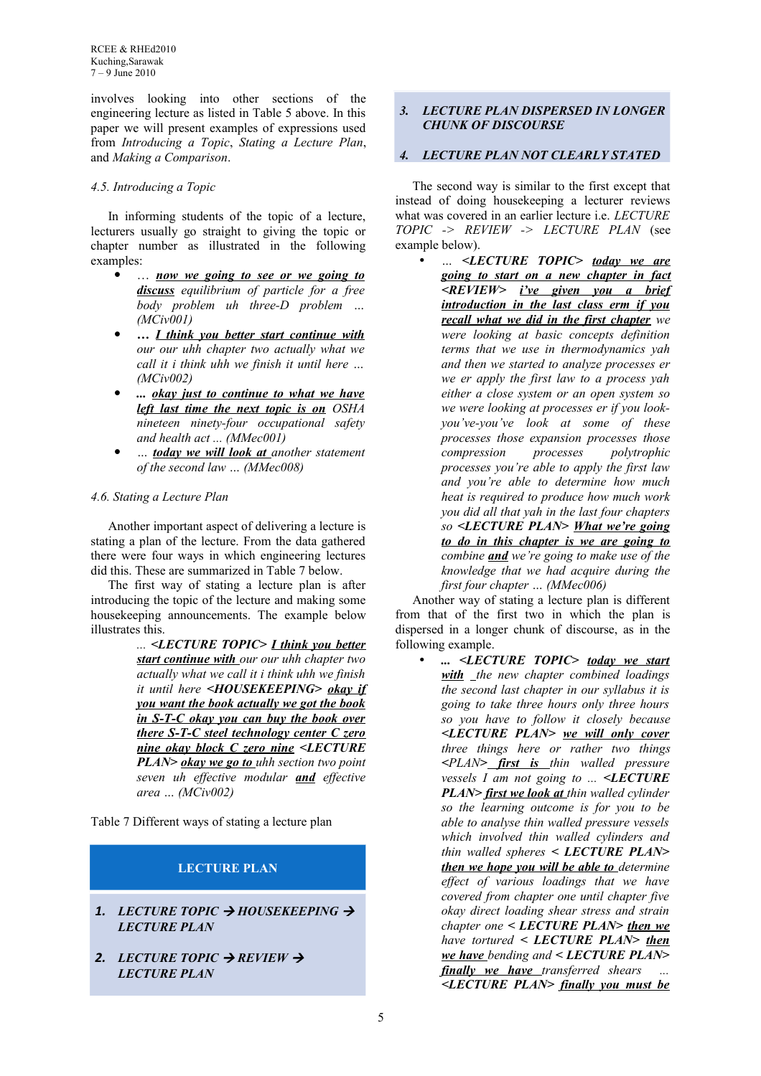involves looking into other sections of the engineering lecture as listed in Table 5 above. In this paper we will present examples of expressions used from *Introducing a Topic*, *Stating a Lecture Plan*, and *Making a Comparison*.

### *4.5. Introducing a Topic*

In informing students of the topic of a lecture, lecturers usually go straight to giving the topic or chapter number as illustrated in the following examples:

- … *now we going to see or we going to discuss equilibrium of particle for a free body problem uh three-D problem … (MCiv001)*
- *… I think you better start continue with our our uhh chapter two actually what we call it i think uhh we finish it until here … (MCiv002)*
- *... okay just to continue to what we have left last time the next topic is on OSHA nineteen ninety-four occupational safety and health act ... (MMec001)*
- *… today we will look at another statement of the second law … (MMec008)*

### *4.6. Stating a Lecture Plan*

Another important aspect of delivering a lecture is stating a plan of the lecture. From the data gathered there were four ways in which engineering lectures did this. These are summarized in Table 7 below.

The first way of stating a lecture plan is after introducing the topic of the lecture and making some housekeeping announcements. The example below illustrates this.

> *... <LECTURE TOPIC> I think you better start continue with our our uhh chapter two actually what we call it i think uhh we finish it until here <HOUSEKEEPING> okay if you want the book actually we got the book in S-T-C okay you can buy the book over there S-T-C steel technology center C zero nine okay block C zero nine <LECTURE PLAN> okay we go to uhh section two point seven uh effective modular and effective area … (MCiv002)*

Table 7 Different ways of stating a lecture plan

# **LECTURE PLAN**

- 1. LECTURE TOPIC  $\rightarrow$  HOUSEKEEPING  $\rightarrow$ *LECTURE PLAN*
- 2. LECTURE TOPIC  $\rightarrow$  REVIEW  $\rightarrow$ *LECTURE PLAN*

# *3. LECTURE PLAN DISPERSED IN LONGER CHUNK OF DISCOURSE*

## *4. LECTURE PLAN NOT CLEARLY STATED*

The second way is similar to the first except that instead of doing housekeeping a lecturer reviews what was covered in an earlier lecture i.e. *LECTURE TOPIC -> REVIEW -> LECTURE PLAN* (see example below).

• *… <LECTURE TOPIC> today we are going to start on a new chapter in fact <REVIEW> i've given you a brief introduction in the last class erm if you recall what we did in the first chapter we were looking at basic concepts definition terms that we use in thermodynamics yah and then we started to analyze processes er we er apply the first law to a process yah either a close system or an open system so we were looking at processes er if you lookyou've-you've look at some of these processes those expansion processes those compression processes polytrophic processes you're able to apply the first law and you're able to determine how much heat is required to produce how much work you did all that yah in the last four chapters so <LECTURE PLAN> What we're going to do in this chapter is we are going to combine and we're going to make use of the knowledge that we had acquire during the first four chapter … (MMec006)*

Another way of stating a lecture plan is different from that of the first two in which the plan is dispersed in a longer chunk of discourse, as in the following example.

• *... <LECTURE TOPIC> today we start with the new chapter combined loadings the second last chapter in our syllabus it is going to take three hours only three hours so you have to follow it closely because <LECTURE PLAN> we will only cover three things here or rather two things <PLAN> first is thin walled pressure vessels I am not going to ... <LECTURE PLAN> first we look at thin walled cylinder so the learning outcome is for you to be able to analyse thin walled pressure vessels which involved thin walled cylinders and thin walled spheres < LECTURE PLAN> then we hope you will be able to determine effect of various loadings that we have covered from chapter one until chapter five okay direct loading shear stress and strain chapter one < LECTURE PLAN> then we have tortured < LECTURE PLAN> then we have bending and < LECTURE PLAN> finally we have transferred shears ... <LECTURE PLAN> finally you must be*